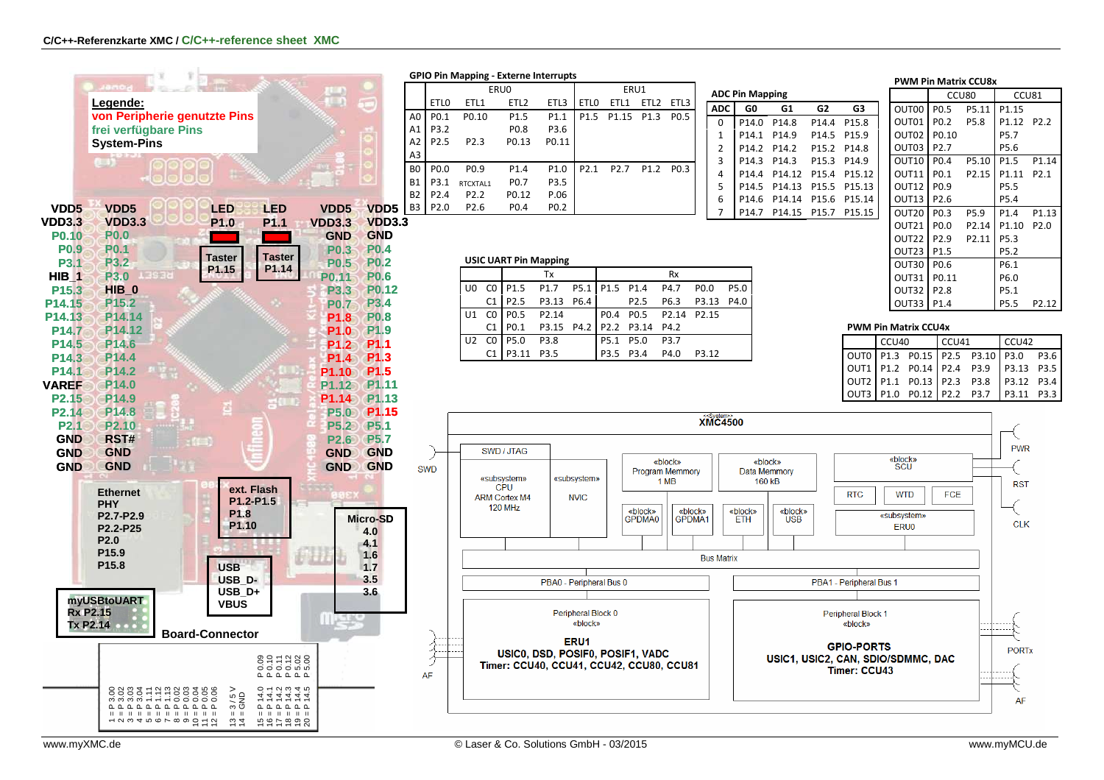